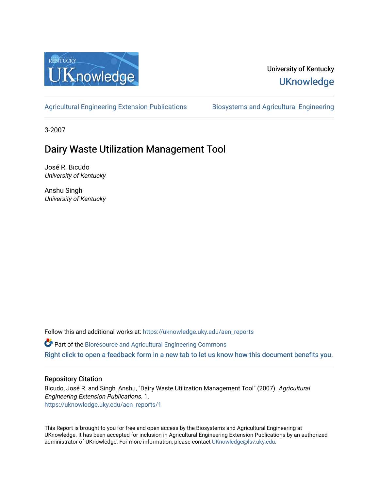

#### University of Kentucky **UKnowledge**

[Agricultural Engineering Extension Publications](https://uknowledge.uky.edu/aen_reports) Biosystems and Agricultural Engineering

3-2007

## Dairy Waste Utilization Management Tool

José R. Bicudo University of Kentucky

Anshu Singh University of Kentucky

Follow this and additional works at: [https://uknowledge.uky.edu/aen\\_reports](https://uknowledge.uky.edu/aen_reports?utm_source=uknowledge.uky.edu%2Faen_reports%2F1&utm_medium=PDF&utm_campaign=PDFCoverPages)

Part of the [Bioresource and Agricultural Engineering Commons](http://network.bepress.com/hgg/discipline/1056?utm_source=uknowledge.uky.edu%2Faen_reports%2F1&utm_medium=PDF&utm_campaign=PDFCoverPages)

[Right click to open a feedback form in a new tab to let us know how this document benefits you.](https://uky.az1.qualtrics.com/jfe/form/SV_9mq8fx2GnONRfz7)

#### Repository Citation

Bicudo, José R. and Singh, Anshu, "Dairy Waste Utilization Management Tool" (2007). Agricultural Engineering Extension Publications. 1. [https://uknowledge.uky.edu/aen\\_reports/1](https://uknowledge.uky.edu/aen_reports/1?utm_source=uknowledge.uky.edu%2Faen_reports%2F1&utm_medium=PDF&utm_campaign=PDFCoverPages)

This Report is brought to you for free and open access by the Biosystems and Agricultural Engineering at UKnowledge. It has been accepted for inclusion in Agricultural Engineering Extension Publications by an authorized administrator of UKnowledge. For more information, please contact [UKnowledge@lsv.uky.edu](mailto:UKnowledge@lsv.uky.edu).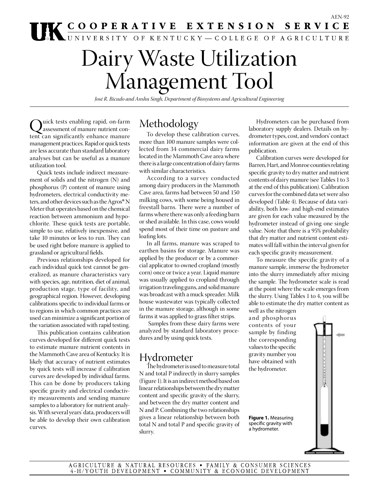# Dairy Waste Utilization Management Tool

*José R. Bicudo and Anshu Singh, Department of Biosystems and Agricultural Engineering* 

Quick tests enabling rapid, on-farm<br>assessment of manure nutrient con-<br>tent can significantly enhance manure tent can significantly enhance manure management practices. Rapid or quick tests are less accurate than standard laboratory analyses but can be useful as a manure utilization tool.

Quick tests include indirect measurement of solids and the nitrogen (N) and phosphorus (P) content of manure using hydrometers, electrical conductivity meters, and other devices such as the Agros® N Meter that operates based on the chemical reaction between ammonium and hypochlorite. These quick tests are portable, simple to use, relatively inexpensive, and take 10 minutes or less to run. They can be used right before manure is applied to grassland or agricultural fields.

Previous relationships developed for each individual quick test cannot be generalized, as manure characteristics vary with species, age, nutrition, diet of animal, production stage, type of facility, and geographical region. However, developing calibrations specific to individual farms or to regions in which common practices are used can minimize a significant portion of the variation associated with rapid testing.

This publication contains calibration curves developed for different quick tests to estimate manure nutrient contents in the Mammoth Cave area of Kentucky. It is likely that accuracy of nutrient estimates by quick tests will increase if calibration curves are developed by individual farms. This can be done by producers taking specific gravity and electrical conductivity measurements and sending manure samples to a laboratory for nutrient analysis. With several years' data, producers will be able to develop their own calibration curves.

## Methodology

To develop these calibration curves, more than 100 manure samples were collected from 34 commercial dairy farms located in the Mammoth Cave area where there is a large concentration of dairy farms with similar characteristics.

According to a survey conducted among dairy producers in the Mammoth Cave area, farms had between 50 and 150 milking cows, with some being housed in freestall barns. There were a number of farms where there was only a feeding barn or shed available. In this case, cows would spend most of their time on pasture and loafing lots.

In all farms, manure was scraped to earthen basins for storage. Manure was applied by the producer or by a commercial applicator to owned cropland (mostly corn) once or twice a year. Liquid manure was usually applied to cropland through irrigation traveling guns, and solid manure was broadcast with a muck spreader. Milk house wastewater was typically collected in the manure storage, although in some farms it was applied to grass filter strips.

 Samples from these dairy farms were analyzed by standard laboratory procedures and by using quick tests.

## Hydrometer

The hydrometer is used to measure total N and total P indirectly in slurry samples (Figure 1). It is an indirect method based on linear relationships between the dry matter content and specific gravity of the slurry, and between the dry matter content and N and P. Combining the two relationships gives a linear relationship between both total N and total P and specific gravity of slurry.

Hydrometers can be purchased from laboratory supply dealers. Details on hydrometer types, cost, and vendors' contact information are given at the end of this publication.

Calibration curves were developed for Barren, Hart, and Monroe counties relating specific gravity to dry matter and nutrient contents of dairy manure (see Tables 1 to 3 at the end of this publication). Calibration curves for the combined data set were also developed (Table 4). Because of data variability, both low- and high-end estimates are given for each value measured by the hydrometer instead of giving one single value. Note that there is a 95% probability that dry matter and nutrient content estimates will fall within the interval given for each specific gravity measurement.

To measure the specific gravity of a manure sample, immerse the hydrometer into the slurry immediately after mixing the sample. The hydrometer scale is read at the point where the scale emerges from the slurry. Using Tables 1 to 4, you will be able to estimate the dry matter content as

**PERMITTEN AND REPORTED** 

well as the nitrogen and phosphorus contents of your sample by finding the corresponding values to the specific gravity number you have obtained with the hydrometer.

**Figure 1.** Measuring specific gravity with a hydrometer.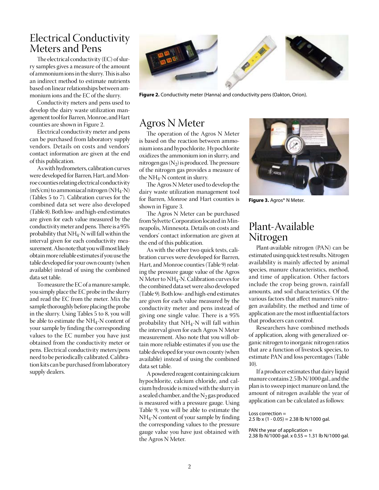#### Electrical Conductivity Meters and Pens

The electrical conductivity (EC) of slurry samples gives a measure of the amount of ammonium ions in the slurry. This is also an indirect method to estimate nutrients based on linear relationships between ammonium ions and the EC of the slurry.

Conductivity meters and pens used to develop the dairy waste utilization management tool for Barren, Monroe, and Hart counties are shown in Figure 2.

Electrical conductivity meter and pens can be purchased from laboratory supply vendors. Details on costs and vendors' contact information are given at the end of this publication.

As with hydrometers, calibration curves were developed for Barren, Hart, and Monroe counties relating electrical conductivity (mS/cm) to ammoniacal nitrogen (NH4-N) (Tables 5 to 7). Calibration curves for the combined data set were also developed (Table 8). Both low- and high-end estimates are given for each value measured by the conductivity meter and pens. There is a 95% probability that NH4-N will fall within the interval given for each conductivity measurement. Also note that you will most likely obtain more reliable estimates if you use the table developed for your own county (when available) instead of using the combined data set table.

To measure the EC of a manure sample, you simply place the EC probe in the slurry and read the EC from the meter. Mix the sample thoroughly before placing the probe in the slurry. Using Tables 5 to 8, you will be able to estimate the NH4-N content of your sample by finding the corresponding values to the EC number you have just obtained from the conductivity meter or pens. Electrical conductivity meters/pens need to be periodically calibrated. Calibration kits can be purchased from laboratory supply dealers.



**Figure 2.** Conductivity meter (Hanna) and conductivity pens (Oakton, Orion).

#### Agros N Meter

The operation of the Agros N Meter is based on the reaction between ammonium ions and hypochlorite. Hypochlorite oxidizes the ammonium ion in slurry, and nitrogen gas  $(N_2)$  is produced. The pressure of the nitrogen gas provides a measure of the  $NH_4$ -N content in slurry.

The Agros N Meter used to develop the dairy waste utilization management tool for Barren, Monroe and Hart counties is shown in Figure 3.

The Agros N Meter can be purchased from Sylvette Corporation located in Minneapolis, Minnesota. Details on costs and vendors' contact information are given at the end of this publication.

As with the other two quick tests, calibration curves were developed for Barren, Hart, and Monroe counties (Table 9) relating the pressure gauge value of the Agros N Meter to NH4-N. Calibration curves for the combined data set were also developed (Table 9). Both low- and high-end estimates are given for each value measured by the conductivity meter and pens instead of giving one single value. There is a 95% probability that NH4-N will fall within the interval given for each Agros N Meter measurement. Also note that you will obtain more reliable estimates if you use the table developed for your own county (when available) instead of using the combined data set table.

A powdered reagent containing calcium hypochlorite, calcium chloride, and calcium hydroxide is mixed with the slurry in a sealed chamber, and the  $N<sub>2</sub>$  gas produced is measured with a pressure gauge. Using Table 9, you will be able to estimate the NH4-N content of your sample by finding the corresponding values to the pressure gauge value you have just obtained with the Agros N Meter.



**Figure 3.** Agros® N Meter.

#### Plant-Available Nitrogen

Plant-available nitrogen (PAN) can be estimated using quick test results. Nitrogen availability is mainly affected by animal species, manure characteristics, method, and time of application. Other factors include the crop being grown, rainfall amounts, and soil characteristics. Of the various factors that affect manure's nitrogen availability, the method and time of application are the most influential factors that producers can control.

Researchers have combined methods of application, along with generalized organic nitrogen to inorganic nitrogen ratios that are a function of livestock species, to estimate PAN and loss percentages (Table 10).

If a producer estimates that dairy liquid manure contains 2.5 lb N/1000 gal., and the plan is to sweep inject manure on land, the amount of nitrogen available the year of application can be calculated as follows:

Loss correction =

2.5 lb x  $(1 - 0.05) = 2.38$  lb N/1000 gal.

PAN the year of application = 2.38 lb N/1000 gal. x 0.55 = 1.31 lb N/1000 gal.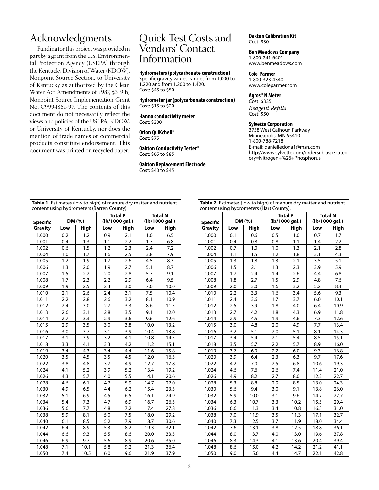## Acknowledgments

Funding for this project was provided in part by a grant from the U.S. Environmental Protection Agency (USEPA) through the Kentucky Division of Water (KDOW), Nonpoint Source Section, to University of Kentucky as authorized by the Clean Water Act Amendments of 1987, §319(h) Nonpoint Source Implementation Grant No. C9994861-97. The contents of this document do not necessarily reflect the views and policies of the USEPA, KDOW, or University of Kentucky, nor does the mention of trade names or commercial products constitute endorsement. This document was printed on recycled paper.

#### Quick Test Costs and Vendors' Contact Information

#### **Hydrometers (polycarbonate construction)**

Specific gravity values: ranges from 1.000 to 1.220 and from 1.200 to 1.420. Cost: \$45 to \$50

**Hydrometer jar (polycarbonate construction)** Cost: \$15 to \$20

**Hanna conductivity meter** Cost: \$300

**Orion QuiKcheK®** Cost: \$75

**Oakton Conductivity Tester®** Cost: \$65 to \$85

**Oakton Replacement Electrode** Cost: \$40 to \$45

**Oakton Calibration Kit** Cost: \$30

**Ben Meadows Company**

1‑800‑241‑6401 www.benmeadows.com

**Cole‑Parmer** 1‑800‑323‑4340 www.coleparmer.com

#### **Agros® N Meter**

Cost: \$335 *Reagent Refills* Cost: \$50

#### **Sylvette Corporation**

3758 West Calhoun Parkway Minneapolis, MN 55410 1‑800‑788‑7218 E-mail: danielledona1@msn.com http://www.sylvette.com/ordersub.asp?categ ory=Nitrogen+%26+Phosphorus

| Table 1. Estimates (low to high) of manure dry matter and nutrient<br>content using hydrometers (Barren County). |     |        |     |                |      |                |  |
|------------------------------------------------------------------------------------------------------------------|-----|--------|-----|----------------|------|----------------|--|
|                                                                                                                  |     |        |     | <b>Total P</b> |      | <b>Total N</b> |  |
| Specific                                                                                                         |     | DM (%) |     | (lb/1000 gal.) |      | (lb/1000 gal.) |  |
| <b>Gravity</b>                                                                                                   | Low | High   | Low | High           | Low  | High           |  |
| 1.000                                                                                                            | 0.2 | 1.2    | 0.9 | 2.1            | 1.0  | 6.5            |  |
| 1.001                                                                                                            | 0.4 | 1.3    | 1.1 | 2.2            | 1.7  | 6.8            |  |
| 1.002                                                                                                            | 0.6 | 1.5    | 1.2 | 2.3            | 2.4  | 7.2            |  |
| 1.004                                                                                                            | 1.0 | 1.7    | 1.6 | 2.5            | 3.8  | 7.9            |  |
| 1.005                                                                                                            | 1.2 | 1.9    | 1.7 | 2.6            | 4.5  | 8.3            |  |
| 1.006                                                                                                            | 1.3 | 2.0    | 1.9 | 2.7            | 5.1  | 8.7            |  |
| 1.007                                                                                                            | 1.5 | 2.2    | 2.0 | 2.8            | 5.7  | 9.1            |  |
| 1.008                                                                                                            | 1.7 | 2.3    | 2.2 | 2.9            | 6.4  | 9.5            |  |
| 1.009                                                                                                            | 1.9 | 2.5    | 2.3 | 3.0            | 7.0  | 10.0           |  |
| 1.010                                                                                                            | 2.1 | 2.6    | 2.4 | 3.1            | 7.5  | 10.4           |  |
| 1.011                                                                                                            | 2.2 | 2.8    | 2.6 | 3.2            | 8.1  | 10.9           |  |
| 1.012                                                                                                            | 2.4 | 3.0    | 2.7 | 3.3            | 8.6  | 11.5           |  |
| 1.013                                                                                                            | 2.6 | 3.1    | 2.8 | 3.5            | 9.1  | 12.0           |  |
| 1.014                                                                                                            | 2.7 | 3.3    | 2.9 | 3.6            | 9.6  | 12.6           |  |
| 1.015                                                                                                            | 2.9 | 3.5    | 3.0 | 3.8            | 10.0 | 13.2           |  |
| 1.016                                                                                                            | 3.0 | 3.7    | 3.1 | 3.9            | 10.4 | 13.8           |  |
| 1.017                                                                                                            | 3.1 | 3.9    | 3.2 | 4.1            | 10.8 | 14.5           |  |
| 1.018                                                                                                            | 3.3 | 4.1    | 3.3 | 4.2            | 11.2 | 15.1           |  |
| 1.019                                                                                                            | 3.4 | 4.3    | 3.4 | 4.4            | 11.6 | 15.8           |  |
| 1.020                                                                                                            | 3.5 | 4.5    | 3.5 | 4.5            | 12.0 | 16.5           |  |
| 1.022                                                                                                            | 3.8 | 4.8    | 3.7 | 4.9            | 12.7 | 17.8           |  |
| 1.024                                                                                                            | 4.1 | 5.2    | 3.9 | 5.2            | 13.4 | 19.2           |  |
| 1.026                                                                                                            | 4.3 | 5.7    | 4.0 | 5.5            | 14.1 | 20.6           |  |
| 1.028                                                                                                            | 4.6 | 6.1    | 4.2 | 5.9            | 14.7 | 22.0           |  |
| 1.030                                                                                                            | 4.9 | 6.5    | 4.4 | 6.2            | 15.4 | 23.5           |  |
| 1.032                                                                                                            | 5.1 | 6.9    | 4.5 | 6.5            | 16.1 | 24.9           |  |
| 1.034                                                                                                            | 5.4 | 7.3    | 4.7 | 6.9            | 16.7 | 26.3           |  |
| 1.036                                                                                                            | 5.6 | 7.7    | 4.8 | 7.2            | 17.4 | 27.8           |  |
| 1.038                                                                                                            | 5.9 | 8.1    | 5.0 | 7.5            | 18.0 | 29.2           |  |
| 1.040                                                                                                            | 6.1 | 8.5    | 5.2 | 7.9            | 18.7 | 30.6           |  |
| 1.042                                                                                                            | 6.4 | 8.9    | 5.3 | 8.2            | 19.3 | 32.1           |  |
| 1.044                                                                                                            | 6.6 | 9.3    | 5.5 | 8.6            | 20.0 | 33.5           |  |
| 1.046                                                                                                            | 6.9 | 9.7    | 5.6 | 8.9            | 20.6 | 35.0           |  |
| 1.048                                                                                                            | 7.1 | 10.1   | 5.8 | 9.2            | 21.3 | 36.4           |  |
| 1.050                                                                                                            | 7.4 | 10.5   | 6.0 | 9.6            | 21.9 | 37.9           |  |

**Table 2.** Estimates (low to high) of manure dry matter and nutrient content using hydrometers (Hart County).

| <b>Specific</b> |     | DM (%) |                  | <b>Total P</b><br>(lb/1000 gal.) |      | <b>Total N</b><br>(lb/1000 gal.) |
|-----------------|-----|--------|------------------|----------------------------------|------|----------------------------------|
| <b>Gravity</b>  | Low | High   | Low              | High                             | Low  | High                             |
| 1.000           | 0.1 | 0.6    | 0.5              | 1.0                              | 0.7  | 1.7                              |
| 1.001           | 0.4 | 0.8    | 0.8              | 1.1                              | 1.4  | 2.2                              |
| 1.002           | 0.7 | 1.0    | 1.0              | 1.3                              | 2.1  | 2.8                              |
| 1.004           | 1.1 | 1.5    | 1.2              | 1.8                              | 3.1  | 4.3                              |
| 1.005           | 1.3 | 1.8    | 1.3              | 2.1                              | 3.5  | 5.1                              |
| 1.006           | 1.5 | 2.1    | 1.3              | 2.3                              | 3.9  | 5.9                              |
| 1.007           | 1.7 | 2.4    | 1.4              | 2.6                              | 4.4  | 6.8                              |
| 1.008           | 1.8 | 2.7    | 1.5              | 2.9                              | 4.8  | 7.6                              |
| 1.009           | 2.0 | 3.0    | 1.6              | 3.2                              | 5.2  | 8.4                              |
| 1.010           | 2.2 | 3.3    | 1.6              | 3.4                              | 5.6  | 9.3                              |
| 1.011           | 2.4 | 3.6    | 1.7              | 3.7                              | 6.0  | 10.1                             |
| 1.012           | 2.5 | 3.9    | 1.8              | 4.0                              | 6.4  | 10.9                             |
| 1.013           | 2.7 | 4.2    | 1.8              | 4.3                              | 6.9  | 11.8                             |
| 1.014           | 2.9 | 4.5    | 1.9              | 4.6                              | 7.3  | 12.6                             |
| 1.015           | 3.0 | 4.8    | 2.0              | 4.9                              | 7.7  | 13.4                             |
| 1.016           | 3.2 | 5.1    | $\overline{2.0}$ | $\overline{5.1}$                 | 8.1  | 14.3                             |
| 1.017           | 3.4 | 5.4    | 2.1              | 5.4                              | 8.5  | 15.1                             |
| 1.018           | 3.5 | 5.7    | 2.2              | 5.7                              | 8.9  | 16.0                             |
| 1.019           | 3.7 | 6.0    | 2.2              | 6.0                              | 9.3  | 16.8                             |
| 1.020           | 3.9 | 6.4    | 2.3              | 6.3                              | 9.7  | 17.6                             |
| 1.022           | 4.2 | 7.0    | 2.5              | 6.8                              | 10.6 | 19.3                             |
| 1.024           | 4.6 | 7.6    | 2.6              | 7.4                              | 11.4 | 21.0                             |
| 1.026           | 4.9 | 8.2    | 2.7              | 8.0                              | 12.2 | 22.7                             |
| 1.028           | 5.3 | 8.8    | 2.9              | 8.5                              | 13.0 | 24.3                             |
| 1.030           | 5.6 | 9.4    | 3.0              | 9.1                              | 13.8 | 26.0                             |
| 1.032           | 5.9 | 10.0   | 3.1              | 9.6                              | 14.7 | 27.7                             |
| 1.034           | 6.3 | 10.7   | 3.3              | 10.2                             | 15.5 | 29.4                             |
| 1.036           | 6.6 | 11.3   | 3.4              | 10.8                             | 16.3 | 31.0                             |
| 1.038           | 7.0 | 11.9   | 3.5              | 11.3                             | 17.1 | 32.7                             |
| 1.040           | 7.3 | 12.5   | 3.7              | 11.9                             | 18.0 | 34.4                             |
| 1.042           | 7.6 | 13.1   | 3.8              | 12.5                             | 18.8 | 36.1                             |
| 1.044           | 8.0 | 13.7   | 4.0              | 13.0                             | 19.6 | 37.8                             |
| 1.046           | 8.3 | 14.3   | 4.1              | 13.6                             | 20.4 | 39.4                             |
| 1.048           | 8.6 | 15.0   | 4.2              | 14.2                             | 21.2 | 41.1                             |
| 1.050           | 9.0 | 15.6   | 4.4              | 14.7                             | 22.1 | 42.8                             |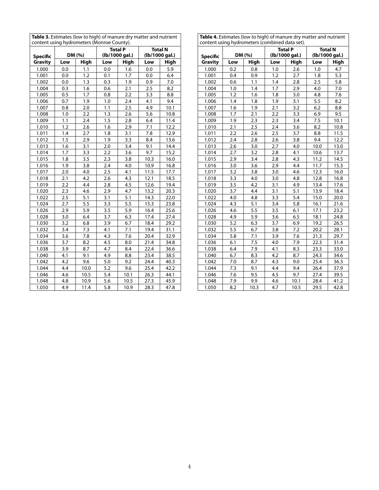| content asing hydrometers (Monitoe County). |     |                                            |     | <b>Total P</b> |      | <b>Total N</b> |
|---------------------------------------------|-----|--------------------------------------------|-----|----------------|------|----------------|
| <b>Specific</b>                             |     | DM (%)<br>(lb/1000 gal.)<br>(lb/1000 gal.) |     |                |      |                |
| <b>Gravity</b>                              | Low | High                                       | Low | <b>High</b>    | Low  | High           |
| 1.000                                       | 0.0 | 1.1                                        | 0.0 | 1.6            | 0.0  | 5.9            |
| 1.001                                       | 0.0 | 1.2                                        | 0.1 | 1.7            | 0.0  | 6.4            |
| 1.002                                       | 0.0 | 1.3                                        | 0.3 | 1.9            | 0.9  | 7.0            |
| 1.004                                       | 0.3 | 1.6                                        | 0.6 | 2.1            | 2.5  | 8.2            |
| 1.005                                       | 0.5 | 1.7                                        | 0.8 | 2.2            | 3.3  | 8.8            |
| 1.006                                       | 0.7 | 1.9                                        | 1.0 | 2.4            | 4.1  | 9.4            |
| 1.007                                       | 0.8 | 2.0                                        | 1.1 | 2.5            | 4.9  | 10.1           |
| 1.008                                       | 1.0 | 2.2                                        | 1.3 | 2.6            | 5.6  | 10.8           |
| 1.009                                       | 1.1 | 2.4                                        | 1.5 | 2.8            | 6.4  | 11.4           |
| 1.010                                       | 1.2 | 2.6                                        | 1.6 | 2.9            | 7.1  | 12.2           |
| 1.011                                       | 1.4 | 2.7                                        | 1.8 | 3.1            | 7.8  | 12.9           |
| 1.012                                       | 1.5 | 2.9                                        | 1.9 | 3.3            | 8.4  | 13.6           |
| 1.013                                       | 1.6 | 3.1                                        | 2.0 | 3.4            | 9.1  | 14.4           |
| 1.014                                       | 1.7 | 3.3                                        | 2.2 | 3.6            | 9.7  | 15.2           |
| 1.015                                       | 1.8 | 3.5                                        | 2.3 | 3.8            | 10.3 | 16.0           |
| 1.016                                       | 1.9 | 3.8                                        | 2.4 | 4.0            | 10.9 | 16.8           |
| 1.017                                       | 2.0 | 4.0                                        | 2.5 | 4.1            | 11.5 | 17.7           |
| 1.018                                       | 2.1 | 4.2                                        | 2.6 | 4.3            | 12.1 | 18.5           |
| 1.019                                       | 2.2 | 4.4                                        | 2.8 | 4.5            | 12.6 | 19.4           |
| 1.020                                       | 2.3 | 4.6                                        | 2.9 | 4.7            | 13.2 | 20.3           |
| 1.022                                       | 2.5 | 5.1                                        | 3.1 | 5.1            | 14.3 | 22.0           |
| 1.024                                       | 2.7 | 5.5                                        | 3.3 | 5.5            | 15.3 | 23.8           |
| 1.026                                       | 2.9 | 5.9                                        | 3.5 | 5.9            | 16.4 | 25.6           |
| 1.028                                       | 3.0 | 6.4                                        | 3.7 | 6.3            | 17.4 | 27.4           |
| 1.030                                       | 3.2 | 6.8                                        | 3.9 | 6.7            | 18.4 | 29.2           |
| 1.032                                       | 3.4 | 7.3                                        | 4.1 | 7.1            | 19.4 | 31.1           |
| 1.034                                       | 3.6 | 7.8                                        | 4.3 | 7.6            | 20.4 | 32.9           |
| 1.036                                       | 3.7 | 8.2                                        | 4.5 | 8.0            | 21.4 | 34.8           |
| 1.038                                       | 3.9 | 8.7                                        | 4.7 | 8.4            | 22.4 | 36.6           |
| 1.040                                       | 4.1 | 9.1                                        | 4.9 | 8.8            | 23.4 | 38.5           |
| 1.042                                       | 4.2 | 9.6                                        | 5.0 | 9.2            | 24.4 | 40.3           |
| 1.044                                       | 4.4 | 10.0                                       | 5.2 | 9.6            | 25.4 | 42.2           |
| 1.046                                       | 4.6 | 10.5                                       | 5.4 | 10.1           | 26.3 | 44.1           |
| 1.048                                       | 4.8 | 10.9                                       | 5.6 | 10.5           | 27.3 | 45.9           |
| 1.050                                       | 4.9 | 11.4                                       | 5.8 | 10.9           | 28.3 | 47.8           |

**Table 3.** Estimates (low to high) of manure dry matter and nutrient content using hydrometers (Monroe County).

| <b>Table 4.</b> Estimates (low to high) of manure dry matter and nutrient |
|---------------------------------------------------------------------------|
| content using hydrometers (combined data set).                            |

| content using hydrometers (combined data set).<br><b>Total N</b><br><b>Total P</b> |                          |            |            |                |            |             |  |  |  |  |
|------------------------------------------------------------------------------------|--------------------------|------------|------------|----------------|------------|-------------|--|--|--|--|
|                                                                                    | DM (%)<br>(lb/1000 gal.) |            |            | (lb/1000 gal.) |            |             |  |  |  |  |
| <b>Specific</b><br><b>Gravity</b>                                                  | Low                      | High       | Low        | High           |            | <b>High</b> |  |  |  |  |
| 1.000                                                                              | 0.2                      |            |            | 2.6            | Low<br>1.0 | 4.7         |  |  |  |  |
|                                                                                    |                          | 0.8        | 1.0<br>1.2 | 2.7            |            |             |  |  |  |  |
| 1.001<br>1.002                                                                     | 0.4<br>0.6               | 0.9<br>1.1 | 1.4        | 2.8            | 1.8<br>2.5 | 5.3<br>5.8  |  |  |  |  |
|                                                                                    |                          |            |            |                |            |             |  |  |  |  |
| 1.004                                                                              | 1.0                      | 1.4        | 1.7        | 2.9            | 4.0        | 7.0         |  |  |  |  |
| 1.005                                                                              | 1.2                      | 1.6        | 1.8        | 3.0            | 4.8        | 7.6         |  |  |  |  |
| 1.006                                                                              | 1.4                      | 1.8        | 1.9        | 3.1            | 5.5        | 8.2         |  |  |  |  |
| 1.007                                                                              | 1.6                      | 1.9        | 2.1        | 3.2            | 6.2        | 8.8         |  |  |  |  |
| 1.008                                                                              | 1.7                      | 2.1        | 2.2        | 3.3            | 6.9        | 9.5         |  |  |  |  |
| 1.009                                                                              | 1.9                      | 2.3        | 2.3        | 3.4            | 7.5        | 10.1        |  |  |  |  |
| 1.010                                                                              | 2.1                      | 2.5        | 2.4        | 3.6            | 8.2        | 10.8        |  |  |  |  |
| 1.011                                                                              | 2.2                      | 2.6        | 2.5        | 3.7            | 8.8        | 11.5        |  |  |  |  |
| 1.012                                                                              | 2.4                      | 2.8        | 2.6        | 3.8            | 9.4        | 12.2        |  |  |  |  |
| 1.013                                                                              | 2.6                      | 3.0        | 2.7        | 4.0            | 10.0       | 13.0        |  |  |  |  |
| 1.014                                                                              | 2.7                      | 3.2        | 2.8        | 4.1            | 10.6       | 13.7        |  |  |  |  |
| 1.015                                                                              | 2.9                      | 3.4        | 2.8        | 4.3            | 11.2       | 14.5        |  |  |  |  |
| 1.016                                                                              | 3.0                      | 3.6        | 2.9        | 4.4            | 11.7       | 15.3        |  |  |  |  |
| 1.017                                                                              | 3.2                      | 3.8        | 3.0        | 4.6            | 12.3       | 16.0        |  |  |  |  |
| 1.018                                                                              | 3.3                      | 4.0        | 3.0        | 4.8            | 12.8       | 16.8        |  |  |  |  |
| 1.019                                                                              | 3.5                      | 4.2        | 3.1        | 4.9            | 13.4       | 17.6        |  |  |  |  |
| 1.020                                                                              | 3.7                      | 4.4        | 3.1        | 5.1            | 13.9       | 18.4        |  |  |  |  |
| 1.022                                                                              | 4.0                      | 4.8        | 3.3        | 5.4            | 15.0       | 20.0        |  |  |  |  |
| 1.024                                                                              | 4.3                      | 5.1        | 3.4        | 5.8            | 16.1       | 21.6        |  |  |  |  |
| 1.026                                                                              | 4.6                      | 5.5        | 3.5        | 6.1            | 17.1       | 23.2        |  |  |  |  |
| 1.028                                                                              | 4.9                      | 5.9        | 3.6        | 6.5            | 18.1       | 24.8        |  |  |  |  |
| 1.030                                                                              | 5.2                      | 6.3        | 3.7        | 6.9            | 19.2       | 26.5        |  |  |  |  |
| 1.032                                                                              | 5.5                      | 6.7        | 3.8        | 7.2            | 20.2       | 28.1        |  |  |  |  |
| 1.034                                                                              | 5.8                      | 7.1        | 3.9        | 7.6            | 21.3       | 29.7        |  |  |  |  |
| 1.036                                                                              | 6.1                      | 7.5        | 4.0        | 7.9            | 22.3       | 31.4        |  |  |  |  |
| 1.038                                                                              | 6.4                      | 7.9        | 4.1        | 8.3            | 23.3       | 33.0        |  |  |  |  |
| 1.040                                                                              | 6.7                      | 8.3        | 4.2        | 8.7            | 24.3       | 34.6        |  |  |  |  |
| 1.042                                                                              | 7.0                      | 8.7        | 4.3        | 9.0            | 25.4       | 36.3        |  |  |  |  |
| 1.044                                                                              | 7.3                      | 9.1        | 4.4        | 9.4            | 26.4       | 37.9        |  |  |  |  |
| 1.046                                                                              | 7.6                      | 9.5        | 4.5        | 9.7            | 27.4       | 39.5        |  |  |  |  |
| 1.048                                                                              | 7.9                      | 9.9        | 4.6        | 10.1           | 28.4       | 41.2        |  |  |  |  |
| 1.050                                                                              | 8.2                      | 10.3       | 4.7        | 10.5           | 29.5       | 42.8        |  |  |  |  |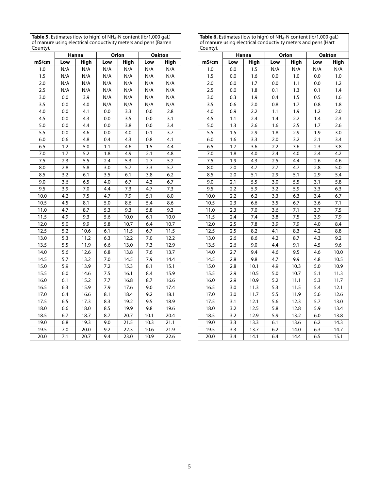**Table 5.** Estimates (low to high) of NH4-N content (lb/1,000 gal.) of manure using electrical conductivity meters and pens (Barren County).

|       | Hanna<br>Orion |      | <b>Oakton</b> |      |      |      |
|-------|----------------|------|---------------|------|------|------|
| mS/cm | Low            | High | Low           | High | Low  | High |
| 1.0   | N/A            | N/A  | N/A           | N/A  | N/A  | N/A  |
| 1.5   | N/A            | N/A  | N/A           | N/A  | N/A  | N/A  |
| 2.0   | N/A            | N/A  | N/A           | N/A  | N/A  | N/A  |
| 2.5   | N/A            | N/A  | N/A           | N/A  | N/A  | N/A  |
| 3.0   | 0.0            | 3.9  | N/A           | N/A  | N/A  | N/A  |
| 3.5   | 0.0            | 4.0  | N/A           | N/A  | N/A  | N/A  |
| 4.0   | 0.0            | 4.1  | 0.0           | 3.3  | 0.0  | 2.8  |
| 4.5   | 0.0            | 4.3  | 0.0           | 3.5  | 0.0  | 3.1  |
| 5.0   | 0.0            | 4.4  | 0.0           | 3.8  | 0.0  | 3.4  |
| 5.5   | 0.0            | 4.6  | 0.0           | 4.0  | 0.1  | 3.7  |
| 6.0   | 0.6            | 4.8  | 0.4           | 4.3  | 0.8  | 4.1  |
| 6.5   | 1.2            | 5.0  | 1.1           | 4.6  | 1.5  | 4.4  |
| 7.0   | 1.7            | 5.2  | 1.8           | 4.9  | 2.1  | 4.8  |
| 7.5   | 2.3            | 5.5  | 2.4           | 5.3  | 2.7  | 5.2  |
| 8.0   | 2.8            | 5.8  | 3.0           | 5.7  | 3.3  | 5.7  |
| 8.5   | 3.2            | 6.1  | 3.5           | 6.1  | 3.8  | 6.2  |
| 9.0   | 3.6            | 6.5  | 4.0           | 6.7  | 4.3  | 6.7  |
| 9.5   | 3.9            | 7.0  | 4.4           | 7.3  | 4.7  | 7.3  |
| 10.0  | 4.2            | 7.5  | 4.7           | 7.9  | 5.1  | 8.0  |
| 10.5  | 4.5            | 8.1  | 5.0           | 8.6  | 5.4  | 8.6  |
| 11.0  | 4.7            | 8.7  | 5.3           | 9.3  | 5.8  | 9.3  |
| 11.5  | 4.9            | 9.3  | 5.6           | 10.0 | 6.1  | 10.0 |
| 12.0  | 5.0            | 9.9  | 5.8           | 10.7 | 6.4  | 10.7 |
| 12.5  | 5.2            | 10.6 | 6.1           | 11.5 | 6.7  | 11.5 |
| 13.0  | 5.3            | 11.2 | 6.3           | 12.2 | 7.0  | 12.2 |
| 13.5  | 5.5            | 11.9 | 6.6           | 13.0 | 7.3  | 12.9 |
| 14.0  | 5.6            | 12.6 | 6.8           | 13.8 | 7.6  | 13.7 |
| 14.5  | 5.7            | 13.2 | 7.0           | 14.5 | 7.9  | 14.4 |
| 15.0  | 5.9            | 13.9 | 7.2           | 15.3 | 8.1  | 15.1 |
| 15.5  | 6.0            | 14.6 | 7.5           | 16.1 | 8.4  | 15.9 |
| 16.0  | 6.1            | 15.2 | 7.7           | 16.8 | 8.7  | 16.6 |
| 16.5  | 6.3            | 15.9 | 7.9           | 17.6 | 9.0  | 17.4 |
| 17.0  | 6.4            | 16.6 | 8.1           | 18.4 | 9.2  | 18.1 |
| 17.5  | 6.5            | 17.3 | 8.3           | 19.2 | 9.5  | 18.9 |
| 18.0  | 6.6            | 18.0 | 8.5           | 19.9 | 9.8  | 19.6 |
| 18.5  | 6.7            | 18.7 | 8.7           | 20.7 | 10.1 | 20.4 |
| 19.0  | 6.8            | 19.3 | 9.0           | 21.5 | 10.3 | 21.1 |
| 19.5  | 7.0            | 20.0 | 9.2           | 22.3 | 10.6 | 21.9 |
| 20.0  | 7.1            | 20.7 | 9.4           | 23.0 | 10.9 | 22.6 |

| <b>Table 6.</b> Estimates (low to high) of $NH4$ -N content (lb/1,000 gal.) |
|-----------------------------------------------------------------------------|
| of manure using electrical conductivity meters and pens (Hart               |
| County).                                                                    |

| County). |                  |                |                  |             |     |               |
|----------|------------------|----------------|------------------|-------------|-----|---------------|
|          |                  | Hanna<br>Orion |                  |             |     | <b>Oakton</b> |
| mS/cm    | Low              | High           | Low              | <b>High</b> | Low | High          |
| 1.0      | 0.0              | 1.5            | N/A              | N/A         | N/A | N/A           |
| 1.5      | 0.0              | 1.6            | 0.0              | 1.0         | 0.0 | 1.0           |
| 2.0      | 0.0              | 1.7            | 0.0              | 1.1         | 0.0 | 1.2           |
| 2.5      | 0.0              | 1.8            | 0.1              | 1.3         | 0.1 | 1.4           |
| 3.0      | 0.3              | 1.9            | 0.4              | 1.5         | 0.5 | 1.6           |
| 3.5      | 0.6              | 2.0            | 0.8              | 1.7         | 0.8 | 1.8           |
| 4.0      | 0.9              | 2.2            | 1.1              | 1.9         | 1.2 | 2.0           |
| 4.5      | 1.1              | 2.4            | 1.4              | 2.2         | 1.4 | 2.3           |
| 5.0      | 1.3              | 2.6            | 1.6              | 2.5         | 1.7 | 2.6           |
| 5.5      | 1.5              | 2.9            | 1.8              | 2.9         | 1.9 | 3.0           |
| 6.0      | 1.6              | 3.3            | 2.0              | 3.2         | 2.1 | 3.4           |
| 6.5      | 1.7              | 3.6            | 2.2              | 3.6         | 2.3 | 3.8           |
| 7.0      | 1.8              | 4.0            | 2.4              | 4.0         | 2.4 | 4.2           |
| 7.5      | 1.9              | 4.3            | 2.5              | 4.4         | 2.6 | 4.6           |
| 8.0      | 2.0              | 4.7            | 2.7              | 4.7         | 2.8 | 5.0           |
| 8.5      | 2.0              | 5.1            | 2.9              | 5.1         | 2.9 | 5.4           |
| 9.0      | 2.1              | 5.5            | 3.0              | 5.5         | 3.1 | 5.8           |
| 9.5      | 2.2              | 5.9            | 3.2              | 5.9         | 3.3 | 6.3           |
| 10.0     | 2.2              | 6.2            | 3.3              | 6.3         | 3.4 | 6.7           |
| 10.5     | $\overline{2.3}$ | 6.6            | 3.5              | 6.7         | 3.6 | 7.1           |
| 11.0     | 2.3              | 7.0            | 3.6              | 7.1         | 3.7 | 7.5           |
| 11.5     | 2.4              | 7.4            | 3.8              | 7.5         | 3.9 | 7.9           |
| 12.0     | 2.5              | 7.8            | 3.9              | 7.9         | 4.0 | 8.4           |
| 12.5     | 2.5              | 8.2            | 4.1              | 8.3         | 4.2 | 8.8           |
| 13.0     | 2.6              | 8.6            | 4.2              | 8.7         | 4.3 | 9.2           |
| 13.5     | 2.6              | 9.0            | 4.4              | 9.1         | 4.5 | 9.6           |
| 14.0     | 2.7              | 9.4            | 4.6              | 9.5         | 4.6 | 10.0          |
| 14.5     | 2.8              | 9.8            | 4.7              | 9.9         | 4.8 | 10.5          |
| 15.0     | 2.8              | 10.1           | 4.9              | 10.3        | 5.0 | 10.9          |
| 15.5     | 2.9              | 10.5           | 5.0              | 10.7        | 5.1 | 11.3          |
| 16.0     | 2.9              | 10.9           | 5.2              | 11.1        | 5.3 | 11.7          |
| 16.5     | 3.0              | 11.3           | 5.3              | 11.5        | 5.4 | 12.1          |
| 17.0     | 3.0              | 11.7           | 5.5              | 11.9        | 5.6 | 12.6          |
| 17.5     | 3.1              | 12.1           | $\overline{5.6}$ | 12.3        | 5.7 | 13.0          |
| 18.0     | 3.2              | 12.5           | 5.8              | 12.8        | 5.9 | 13.4          |
| 18.5     | 3.2              | 12.9           | 5.9              | 13.2        | 6.0 | 13.8          |
| 19.0     | 3.3              | 13.3           | 6.1              | 13.6        | 6.2 | 14.3          |
| 19.5     | 3.3              | 13.7           | 6.2              | 14.0        | 6.3 | 14.7          |
| 20.0     | 3.4              | 14.1           | 6.4              | 14.4        | 6.5 | 15.1          |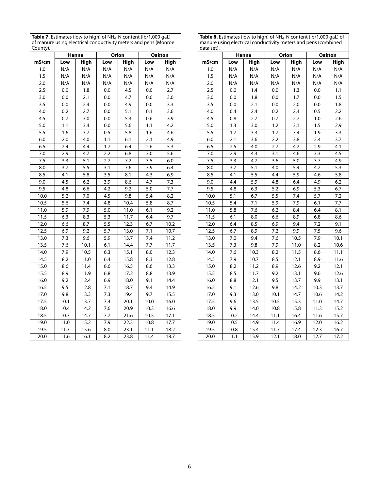**Table 7.** Estimates (low to high) of NH<sub>4</sub>-N content (lb/1,000 gal.)<br>of manure using electrical conductivity meters and pens (Monroe County).

|                  | Hanna<br>Orion |      | <b>Oakton</b> |             |      |      |
|------------------|----------------|------|---------------|-------------|------|------|
| mS/cm            | Low            | High | Low           | <b>High</b> | Low  | High |
| 1.0              | N/A            | N/A  | N/A           | N/A         | N/A  | N/A  |
| 1.5              | N/A            | N/A  | N/A           | N/A         | N/A  | N/A  |
| 2.0              | N/A            | N/A  | N/A           | N/A         | N/A  | N/A  |
| 2.5              | 0.0            | 1.8  | 0.0           | 4.5         | 0.0  | 2.7  |
| 3.0              | 0.0            | 2.1  | 0.0           | 4.7         | 0.0  | 3.0  |
| 3.5              | 0.0            | 2.4  | 0.0           | 4.9         | 0.0  | 3.3  |
| 4.0              | 0.2            | 2.7  | 0.0           | 5.1         | 0.1  | 3.6  |
| 4.5              | 0.7            | 3.0  | 0.0           | 5.3         | 0.6  | 3.9  |
| 5.0              | 1.1            | 3.4  | 0.0           | 5.6         | 1.1  | 4.2  |
| $\overline{5.5}$ | 1.6            | 3.7  | 0.5           | 5.8         | 1.6  | 4.6  |
| 6.0              | 2.0            | 4.0  | 1.1           | 6.1         | 2.1  | 4.9  |
| 6.5              | 2.4            | 4.4  | 1.7           | 6.4         | 2.6  | 5.3  |
| 7.0              | 2.9            | 4.7  | 2.2           | 6.8         | 3.0  | 5.6  |
| 7.5              | 3.3            | 5.1  | 2.7           | 7.2         | 3.5  | 6.0  |
| 8.0              | 3.7            | 5.5  | 3.1           | 7.6         | 3.9  | 6.4  |
| 8.5              | 4.1            | 5.8  | 3.5           | 8.1         | 4.3  | 6.9  |
| 9.0              | 4.5            | 6.2  | 3.9           | 8.6         | 4.7  | 7.3  |
| 9.5              | 4.8            | 6.6  | 4.2           | 9.2         | 5.0  | 7.7  |
| 10.0             | 5.2            | 7.0  | 4.5           | 9.8         | 5.4  | 8.2  |
| 10.5             | 5.6            | 7.4  | 4.8           | 10.4        | 5.8  | 8.7  |
| 11.0             | 5.9            | 7.9  | 5.0           | 11.0        | 6.1  | 9.2  |
| 11.5             | 6.3            | 8.3  | 5.3           | 11.7        | 6.4  | 9.7  |
| 12.0             | 6.6            | 8.7  | 5.5           | 12.3        | 6.7  | 10.2 |
| 12.5             | 6.9            | 9.2  | 5.7           | 13.0        | 7.1  | 10.7 |
| 13.0             | 7.3            | 9.6  | 5.9           | 13.7        | 7.4  | 11.2 |
| 13.5             | 7.6            | 10.1 | 6.1           | 14.4        | 7.7  | 11.7 |
| 14.0             | 7.9            | 10.5 | 6.3           | 15.1        | 8.0  | 12.3 |
| 14.5             | 8.2            | 11.0 | 6.4           | 15.8        | 8.3  | 12.8 |
| 15.0             | 8.6            | 11.4 | 6.6           | 16.5        | 8.6  | 13.3 |
| 15.5             | 8.9            | 11.9 | 6.8           | 17.2        | 8.8  | 13.9 |
| 16.0             | 9.2            | 12.4 | 6.9           | 18.0        | 9.1  | 14.4 |
| 16.5             | 9.5            | 12.8 | 7.1           | 18.7        | 9.4  | 14.9 |
| 17.0             | 9.8            | 13.3 | 7.3           | 19.4        | 9.7  | 15.5 |
| 17.5             | 10.1           | 13.7 | 7.4           | 20.1        | 10.0 | 16.0 |
| 18.0             | 10.4           | 14.2 | 7.6           | 20.9        | 10.3 | 16.6 |
| 18.5             | 10.7           | 14.7 | 7.7           | 21.6        | 10.5 | 17.1 |
| 19.0             | 11.0           | 15.2 | 7.9           | 22.3        | 10.8 | 17.7 |
| 19.5             | 11.3           | 15.6 | 8.0           | 23.1        | 11.1 | 18.2 |
| 20.0             | 11.6           | 16.1 | 8.2           | 23.8        | 11.4 | 18.7 |

**Table 8.** Estimates (low to high) of NH4-N content (lb/1,000 gal.) of manure using electrical conductivity meters and pens (combined data set).

| uutu JCtJ. |                  |             |                  |              |               |             |  |
|------------|------------------|-------------|------------------|--------------|---------------|-------------|--|
|            |                  | Hanna       |                  | <b>Orion</b> | <b>Oakton</b> |             |  |
| mS/cm      | Low              | <b>High</b> | Low              | High         | Low           | <b>High</b> |  |
| 1.0        | N/A              | N/A         | N/A              | N/A          | N/A           | N/A         |  |
| 1.5        | N/A              | N/A         | N/A              | N/A          | N/A           | N/A         |  |
| 2.0        | N/A              | N/A         | N/A              | N/A          | N/A           | N/A         |  |
| 2.5        | 0.0              | 1.4         | 0.0              | 1.3          | 0.0           | 1.1         |  |
| 3.0        | 0.0              | 1.8         | 0.0              | 1.7          | 0.0           | 1.5         |  |
| 3.5        | 0.0              | 2.1         | 0.0              | 2.0          | 0.0           | 1.8         |  |
| 4.0        | 0.4              | 2.4         | 0.2              | 2.4          | 0.5           | 2.2         |  |
| 4.5        | 0.8              | 2.7         | 0.7              | 2.7          | 1.0           | 2.6         |  |
| 5.0        | 1.3              | 3.0         | 1.2              | 3.1          | 1.5           | 2.9         |  |
| 5.5        | $\overline{1.7}$ | 3.3         | 1.7              | 3.4          | 1.9           | 3.3         |  |
| 6.0        | 2.1              | 3.6         | 2.2              | 3.8          | 2.4           | 3.7         |  |
| 6.5        | 2.5              | 4.0         | 2.7              | 4.2          | 2.9           | 4.1         |  |
| 7.0        | 2.9              | 4.3         | 3.1              | 4.6          | 3.3           | 4.5         |  |
| 7.5        | 3.3              | 4.7         | 3.6              | 5.0          | 3.7           | 4.9         |  |
| 8.0        | 3.7              | 5.1         | 4.0              | 5.4          | 4.2           | 5.3         |  |
| 8.5        | 4.1              | 5.5         | 4.4              | 5.9          | 4.6           | 5.8         |  |
| 9.0        | 4.4              | 5.9         | 4.8              | 6.4          | 4.9           | 6.2         |  |
| 9.5        | 4.8              | 6.3         | $\overline{5.2}$ | 6.9          | 5.3           | 6.7         |  |
| 10.0       | 5.1              | 6.7         | 5.5              | 7.4          | 5.7           | 7.2         |  |
| 10.5       | 5.4              | 7.1         | 5.9              | 7.9          | 6.1           | 7.7         |  |
| 11.0       | 5.8              | 7.6         | 6.2              | 8.4          | 6.4           | 8.1         |  |
| 11.5       | 6.1              | 8.0         | 6.6              | 8.9          | 6.8           | 8.6         |  |
| 12.0       | 6.4              | 8.5         | 6.9              | 9.4          | 7.2           | 9.1         |  |
| 12.5       | 6.7              | 8.9         | 7.2              | 9.9          | 7.5           | 9.6         |  |
| 13.0       | 7.0              | 9.4         | 7.6              | 10.5         | 7.9           | 10.1        |  |
| 13.5       | 7.3              | 9.8         | 7.9              | 11.0         | 8.2           | 10.6        |  |
| 14.0       | 7.6              | 10.3        | 8.2              | 11.5         | 8.6           | 11.1        |  |
| 14.5       | 7.9              | 10.7        | 8.5              | 12.1         | 8.9           | 11.6        |  |
| 15.0       | 8.2              | 11.2        | 8.9              | 12.6         | 9.2           | 12.1        |  |
| 15.5       | 8.5              | 11.7        | 9.2              | 13.1         | 9.6           | 12.6        |  |
| 16.0       | 8.8              | 12.1        | 9.5              | 13.7         | 9.9           | 13.1        |  |
| 16.5       | 9.1              | 12.6        | 9.8              | 14.2         | 10.3          | 13.7        |  |
| 17.0       | 9.3              | 13.0        | 10.1             | 14.7         | 10.6          | 14.2        |  |
| 17.5       | 9.6              | 13.5        | 10.5             | 15.3         | 11.0          | 14.7        |  |
| 18.0       | 9.9              | 14.0        | 10.8             | 15.8         | 11.3          | 15.2        |  |
| 18.5       | 10.2             | 14.4        | 11.1             | 16.4         | 11.6          | 15.7        |  |
| 19.0       | 10.5             | 14.9        | 11.4             | 16.9         | 12.0          | 16.2        |  |
| 19.5       | 10.8             | 15.4        | 11.7             | 17.4         | 12.3          | 16.7        |  |
| 20.0       | 11.1             | 15.9        | 12.1             | 18.0         | 12.7          | 17.2        |  |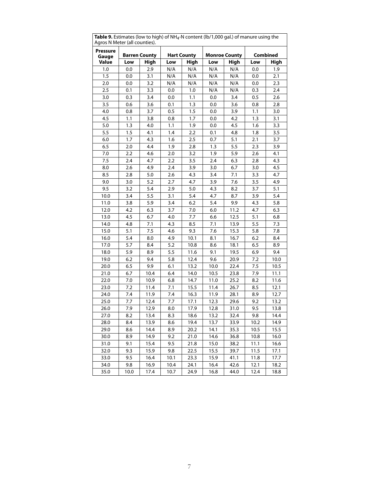| <b>rable 3.</b> Estimates (low to ingri) or in 14-in content (lb/ 1,000 gal.) or manure using the<br>Agros N Meter (all counties). |      |         |      |      |      |                                         |      |      |  |
|------------------------------------------------------------------------------------------------------------------------------------|------|---------|------|------|------|-----------------------------------------|------|------|--|
| <b>Pressure</b><br><b>Hart County</b><br><b>Barren County</b>                                                                      |      |         |      |      |      | <b>Monroe County</b><br><b>Combined</b> |      |      |  |
| Gauge<br>Value                                                                                                                     | Low  | High    | Low  | High | Low  | High                                    | Low  | High |  |
| 1.0                                                                                                                                | 0.0  | 2.9     | N/A  | N/A  | N/A  | N/A                                     | 0.0  | 1.9  |  |
| 1.5                                                                                                                                | 0.0  | 3.1     | N/A  | N/A  | N/A  | N/A                                     | 0.0  | 2.1  |  |
| 2.0                                                                                                                                | 0.0  | 3.2     | N/A  | N/A  | N/A  | N/A                                     | 0.0  | 2.3  |  |
| 2.5                                                                                                                                | 0.1  | 3.3     | 0.0  | 1.0  | N/A  | N/A                                     | 0.3  | 2.4  |  |
| 3.0                                                                                                                                | 0.3  | 3.4     | 0.0  | 1.1  | 0.0  | 3.4                                     | 0.5  | 2.6  |  |
| 3.5                                                                                                                                | 0.6  | 3.6     | 0.1  | 1.3  | 0.0  | 3.6                                     | 0.8  | 2.8  |  |
| 4.0                                                                                                                                | 0.8  | 3.7     | 0.5  | 1.5  | 0.0  | 3.9                                     | 1.1  | 3.0  |  |
| 4.5                                                                                                                                | 1.1  | 3.8     | 0.8  | 1.7  | 0.0  | 4.2                                     | 1.3  | 3.1  |  |
| 5.0                                                                                                                                | 1.3  | $4.0\,$ | 1.1  | 1.9  | 0.0  | 4.5                                     | 1.6  | 3.3  |  |
| 5.5                                                                                                                                | 1.5  | 4.1     | 1.4  | 2.2  | 0.1  | 4.8                                     | 1.8  | 3.5  |  |
| 6.0                                                                                                                                | 1.7  | 4.3     | 1.6  | 2.5  | 0.7  | 5.1                                     | 2.1  | 3.7  |  |
| 6.5                                                                                                                                | 2.0  | 4.4     | 1.9  | 2.8  | 1.3  | 5.5                                     | 2.3  | 3.9  |  |
| 7.0                                                                                                                                | 2.2  | 4.6     | 2.0  | 3.2  | 1.9  | 5.9                                     | 2.6  | 4.1  |  |
| 7.5                                                                                                                                | 2.4  | 4.7     | 2.2  | 3.5  | 2.4  | 6.3                                     | 2.8  | 4.3  |  |
| 8.0                                                                                                                                | 2.6  | 4.9     | 2.4  | 3.9  | 3.0  | 6.7                                     | 3.0  | 4.5  |  |
| 8.5                                                                                                                                | 2.8  | 5.0     | 2.6  | 4.3  | 3.4  | 7.1                                     | 3.3  | 4.7  |  |
| 9.0                                                                                                                                | 3.0  | 5.2     | 2.7  | 4.7  | 3.9  | 7.6                                     | 3.5  | 4.9  |  |
| 9.5                                                                                                                                | 3.2  | 5.4     | 2.9  | 5.0  | 4.3  | 8.2                                     | 3.7  | 5.1  |  |
| 10.0                                                                                                                               | 3.4  | 5.5     | 3.1  | 5.4  | 4.7  | 8.7                                     | 3.9  | 5.4  |  |
| 11.0                                                                                                                               | 3.8  | 5.9     | 3.4  | 6.2  | 5.4  | 9.9                                     | 4.3  | 5.8  |  |
| 12.0                                                                                                                               | 4.2  | 6.3     | 3.7  | 7.0  | 6.0  | 11.2                                    | 4.7  | 6.3  |  |
| 13.0                                                                                                                               | 4.5  | 6.7     | 4.0  | 7.7  | 6.6  | 12.5                                    | 5.1  | 6.8  |  |
| 14.0                                                                                                                               | 4.8  | 7.1     | 4.3  | 8.5  | 7.1  | 13.9                                    | 5.5  | 7.3  |  |
| 15.0                                                                                                                               | 5.1  | 7.5     | 4.6  | 9.3  | 7.6  | 15.3                                    | 5.8  | 7.8  |  |
| 16.0                                                                                                                               | 5.4  | 8.0     | 4.9  | 10.1 | 8.1  | 16.7                                    | 6.2  | 8.4  |  |
| 17.0                                                                                                                               | 5.7  | 8.4     | 5.2  | 10.8 | 8.6  | 18.1                                    | 6.5  | 8.9  |  |
| 18.0                                                                                                                               | 5.9  | 8.9     | 5.5  | 11.6 | 9.1  | 19.5                                    | 6.9  | 9.4  |  |
| 19.0                                                                                                                               | 6.2  | 9.4     | 5.8  | 12.4 | 9.6  | 20.9                                    | 7.2  | 10.0 |  |
| 20.0                                                                                                                               | 6.5  | 9.9     | 6.1  | 13.2 | 10.0 | 22.4                                    | 7.5  | 10.5 |  |
| 21.0                                                                                                                               | 6.7  | 10.4    | 6.4  | 14.0 | 10.5 | 23.8                                    | 7.9  | 11.1 |  |
| 22.0                                                                                                                               | 7.0  | 10.9    | 6.8  | 14.7 | 11.0 | 25.2                                    | 8.2  | 11.6 |  |
| 23.0                                                                                                                               | 7.2  | 11.4    | 7.1  | 15.5 | 11.4 | 26.7                                    | 8.5  | 12.1 |  |
| 24.0                                                                                                                               | 7.4  | 11.9    | 7.4  | 16.3 | 11.9 | 28.1                                    | 8.9  | 12.7 |  |
| 25.0                                                                                                                               | 7.7  | 12.4    | 7.7  | 17.1 | 12.3 | 29.6                                    | 9.2  | 13.2 |  |
| 26.0                                                                                                                               | 7.9  | 12.9    | 8.0  | 17.9 | 12.8 | 31.0                                    | 9.5  | 13.8 |  |
| 27.0                                                                                                                               | 8.2  | 13.4    | 8.3  | 18.6 | 13.2 | 32.4                                    | 9.8  | 14.4 |  |
| 28.0                                                                                                                               | 8.4  | 13.9    | 8.6  | 19.4 | 13.7 | 33.9                                    | 10.2 | 14.9 |  |
| 29.0                                                                                                                               | 8.6  | 14.4    | 8.9  | 20.2 | 14.1 | 35.3                                    | 10.5 | 15.5 |  |
| 30.0                                                                                                                               | 8.9  | 14.9    | 9.2  | 21.0 | 14.6 | 36.8                                    | 10.8 | 16.0 |  |
| 31.0                                                                                                                               | 9.1  | 15.4    | 9.5  | 21.8 | 15.0 | 38.2                                    | 11.1 | 16.6 |  |
| 32.0                                                                                                                               | 9.3  | 15.9    | 9.8  | 22.5 | 15.5 | 39.7                                    | 11.5 | 17.1 |  |
| 33.0                                                                                                                               | 9.5  | 16.4    | 10.1 | 23.3 | 15.9 | 41.1                                    | 11.8 | 17.7 |  |
| 34.0                                                                                                                               | 9.8  | 16.9    | 10.4 | 24.1 | 16.4 | 42.6                                    | 12.1 | 18.2 |  |
| 35.0                                                                                                                               | 10.0 | 17.4    | 10.7 | 24.9 | 16.8 | 44.0                                    | 12.4 | 18.8 |  |

**Table 9.** Estimates (low to high) of NH<sub>4</sub>-N content (lb/1,000 gal.) of manure using the